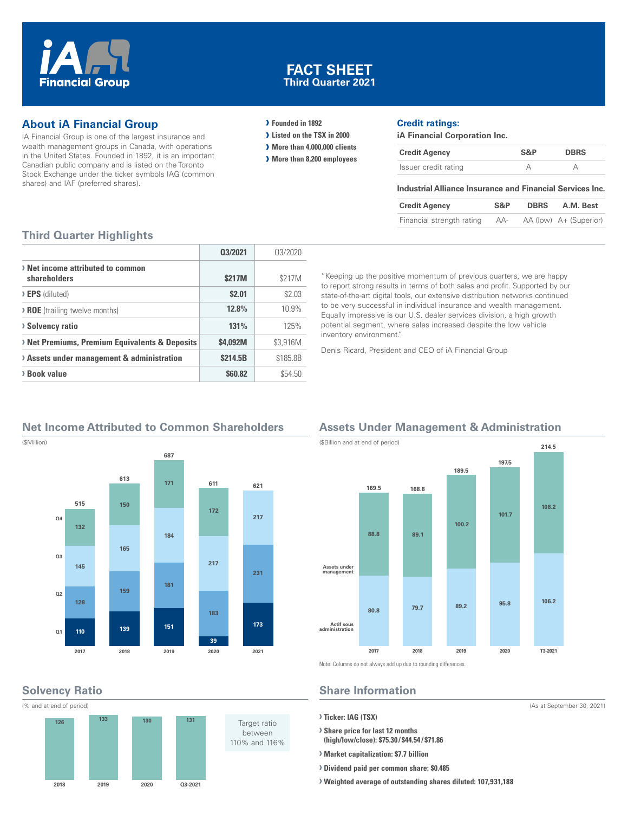

### **FACT SHEET Third Quarter 2021**

### **About iA Financial Group**

iA Financial Group is one of the largest insurance and wealth management groups in Canada, with operations in the United States. Founded in 1892, it is an important Canadian public company and is listed on the Toronto Stock Exchange under the ticker symbols IAG (common shares) and IAF (preferred shares).

### **› Founded in 1892**

- **› Listed on the TSX in 2000**
- **› More than 4,000,000 clients**
- **› More than 8,200 employees**

### **Credit ratings:**

**iA Financial Corporation Inc.**

| <b>Credit Agency</b> | S&P | <b>DBRS</b> |
|----------------------|-----|-------------|
| Issuer credit rating |     |             |

#### **Industrial Alliance Insurance and Financial Services Inc.**

| <b>Credit Agency</b>      | S&P | <b>DBRS</b> | A.M. Best              |
|---------------------------|-----|-------------|------------------------|
| Financial strength rating | AA- |             | AA (low) A+ (Superior) |

### **Third Quarter Highlights**

|                                                         | 03/2021  | 03/2020  |
|---------------------------------------------------------|----------|----------|
| > Net income attributed to common<br>shareholders       | \$217M   | \$217M   |
| $\triangleright$ <b>EPS</b> (diluted)                   | \$2.01   | \$2.03   |
| <b>&gt; ROE</b> (trailing twelve months)                | 12.8%    | 10.9%    |
| <b>Solvency ratio</b>                                   | 131%     | 125%     |
| <b>Net Premiums, Premium Equivalents &amp; Deposits</b> | \$4.092M | \$3,916M |
| > Assets under management & administration              | \$214.5B | \$185.8B |
| > Book value                                            | \$60.82  | \$54.50  |

"Keeping up the positive momentum of previous quarters, we are happy to report strong results in terms of both sales and profit. Supported by our state-of-the-art digital tools, our extensive distribution networks continued to be very successful in individual insurance and wealth management. Equally impressive is our U.S. dealer services division, a high growth potential segment, where sales increased despite the low vehicle inventory environment."

Denis Ricard, President and CEO of iA Financial Group

# **Net Income Attributed to Common Shareholders**



# **Solvency Ratio**



# **Assets Under Management & Administration**



Note: Columns do not always add up due to rounding differences.

### **Share Information**

#### **› Ticker: IAG (TSX)**

**› Share price for last 12 months (high/low/close): \$75.30 / \$44.54 / \$71.86**

- **› Market capitalization: \$7.7 billion**
- **› Dividend paid per common share: \$0.485**
- **› Weighted average of outstanding shares diluted: 107,931,188**

(As at September 30, 2021)